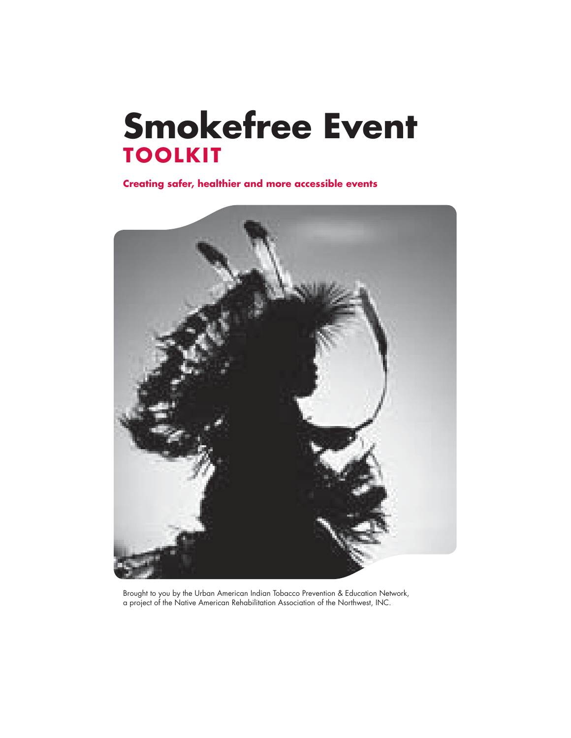## **Smokefree Event TOOLKIT**

**Creating safer, healthier and more accessible events**



Brought to you by the Urban American Indian Tobacco Prevention & Education Network, a project of the Native American Rehabilitation Association of the Northwest, INC.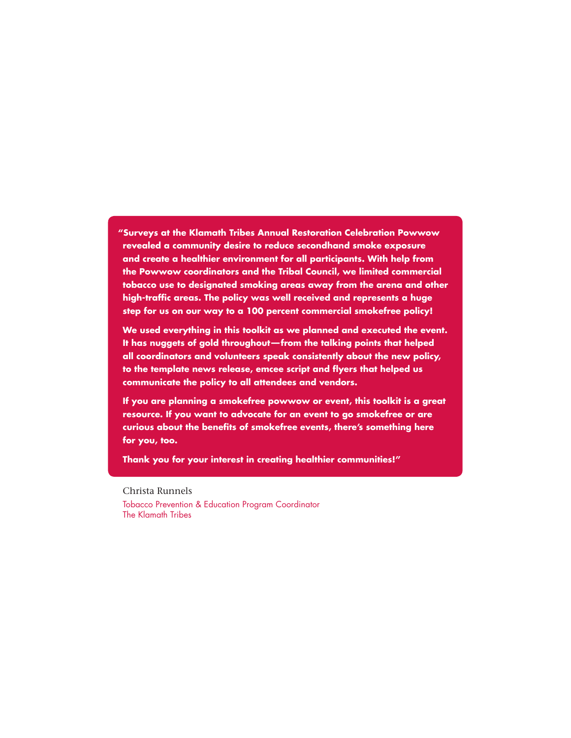**"Surveys at the Klamath Tribes Annual Restoration Celebration Powwow revealed a community desire to reduce secondhand smoke exposure and create a healthier environment for all participants. With help from the Powwow coordinators and the Tribal Council, we limited commercial tobacco use to designated smoking areas away from the arena and other**  high-traffic areas. The policy was well received and represents a huge **step for us on our way to a 100 percent commercial smokefree policy!**

 **We used everything in this toolkit as we planned and executed the event. It has nuggets of gold throughout — from the talking points that helped all coordinators and volunteers speak consistently about the new policy,**  to the template news release, emcee script and flyers that helped us **communicate the policy to all attendees and vendors.** 

 **If you are planning a smokefree powwow or event, this toolkit is a great resource. If you want to advocate for an event to go smokefree or are**  curious about the benefits of smokefree events, there's something here **for you, too.** 

 **Thank you for your interest in creating healthier communities!"**

Christa Runnels Tobacco Prevention & Education Program Coordinator The Klamath Tribes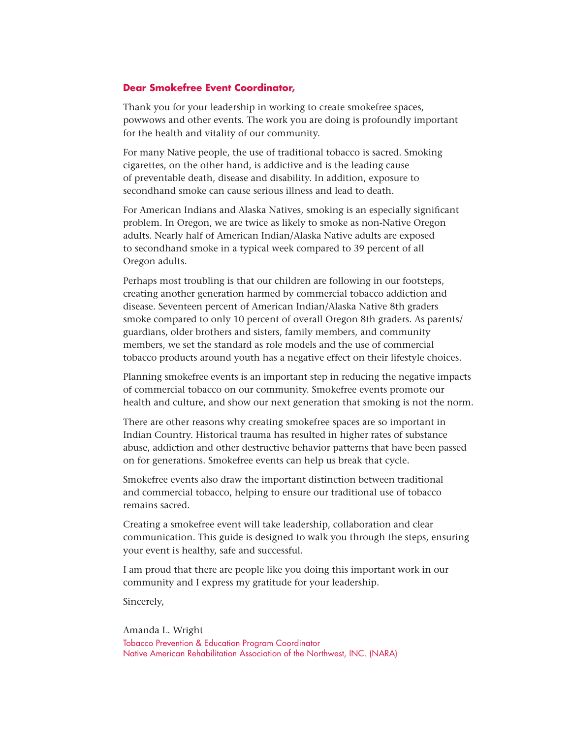#### **Dear Smokefree Event Coordinator,**

Thank you for your leadership in working to create smokefree spaces, powwows and other events. The work you are doing is profoundly important for the health and vitality of our community.

For many Native people, the use of traditional tobacco is sacred. Smoking cigarettes, on the other hand, is addictive and is the leading cause of preventable death, disease and disability. In addition, exposure to secondhand smoke can cause serious illness and lead to death.

For American Indians and Alaska Natives, smoking is an especially significant problem. In Oregon, we are twice as likely to smoke as non-Native Oregon adults. Nearly half of American Indian/Alaska Native adults are exposed to secondhand smoke in a typical week compared to 39 percent of all Oregon adults.

Perhaps most troubling is that our children are following in our footsteps, creating another generation harmed by commercial tobacco addiction and disease. Seventeen percent of American Indian/Alaska Native 8th graders smoke compared to only 10 percent of overall Oregon 8th graders. As parents/ guardians, older brothers and sisters, family members, and community members, we set the standard as role models and the use of commercial tobacco products around youth has a negative effect on their lifestyle choices.

Planning smokefree events is an important step in reducing the negative impacts of commercial tobacco on our community. Smokefree events promote our health and culture, and show our next generation that smoking is not the norm.

There are other reasons why creating smokefree spaces are so important in Indian Country. Historical trauma has resulted in higher rates of substance abuse, addiction and other destructive behavior patterns that have been passed on for generations. Smokefree events can help us break that cycle.

Smokefree events also draw the important distinction between traditional and commercial tobacco, helping to ensure our traditional use of tobacco remains sacred.

Creating a smokefree event will take leadership, collaboration and clear communication. This guide is designed to walk you through the steps, ensuring your event is healthy, safe and successful.

I am proud that there are people like you doing this important work in our community and I express my gratitude for your leadership.

Sincerely,

Amanda L. Wright Tobacco Prevention & Education Program Coordinator Native American Rehabilitation Association of the Northwest, INC. (NARA)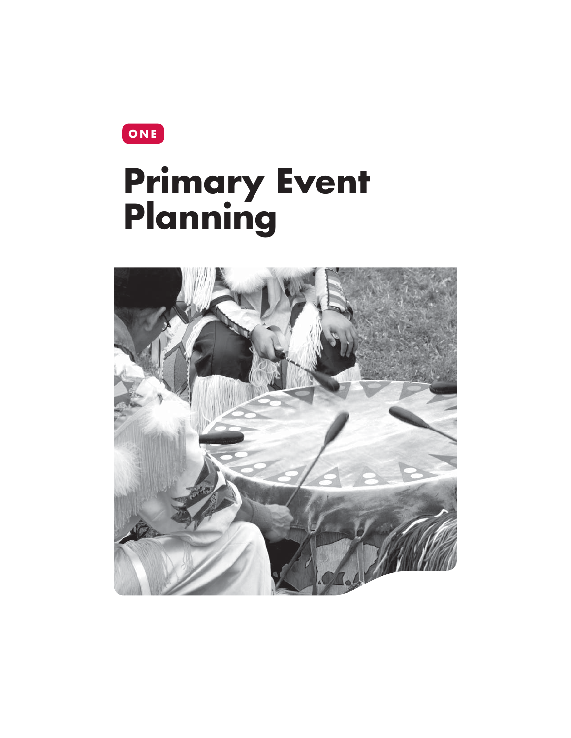**ONE**

# **Primary Event Planning**

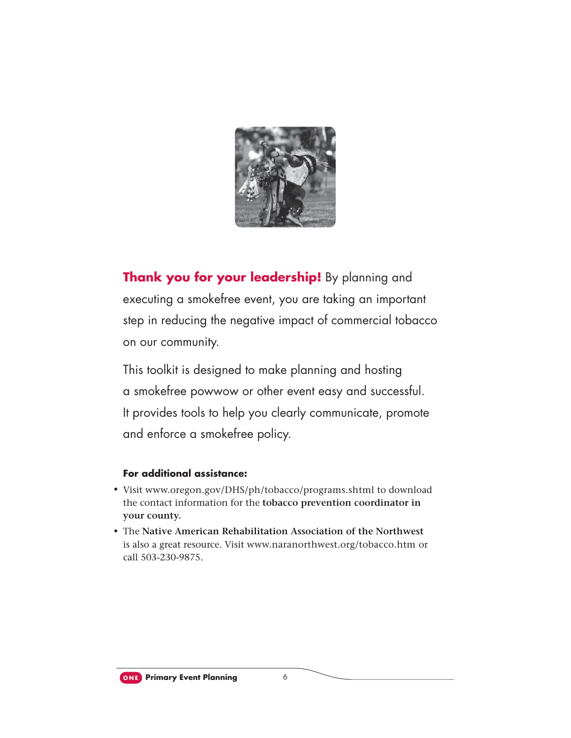

**Thank you for your leadership!** By planning and executing a smokefree event, you are taking an important step in reducing the negative impact of commercial tobacco on our community.

This toolkit is designed to make planning and hosting a smokefree powwow or other event easy and successful. It provides tools to help you clearly communicate, promote and enforce a smokefree policy.

#### **For additional assistance:**

- Visit www.oregon.gov/DHS/ph/tobacco/programs.shtml to download the contact information for the **tobacco prevention coordinator in your county.**
- The **Native American Rehabilitation Association of the Northwest**  is also a great resource. Visit www.naranorthwest.org/tobacco.htm or call 503-230-9875.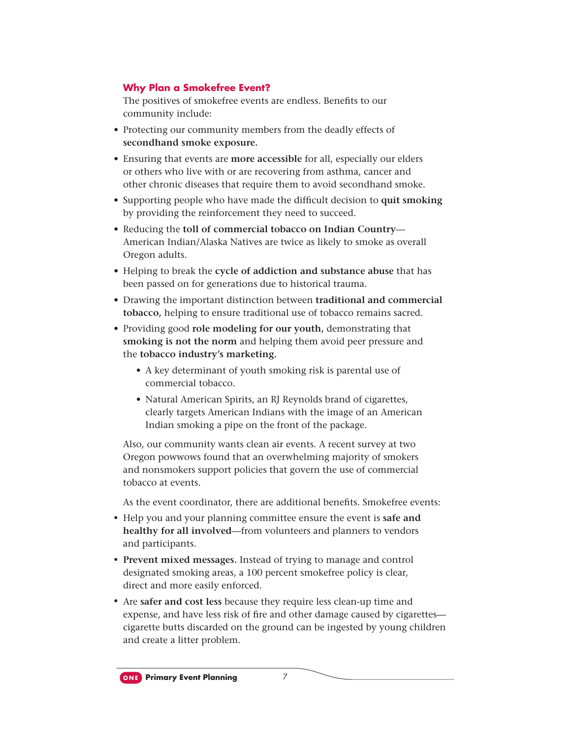#### **Why Plan a Smokefree Event?**

The positives of smokefree events are endless. Benefits to our community include:

- Protecting our community members from the deadly effects of **secondhand smoke exposure.**
- Ensuring that events are **more accessible** for all, especially our elders or others who live with or are recovering from asthma, cancer and other chronic diseases that require them to avoid secondhand smoke.
- Supporting people who have made the difficult decision to quit smoking by providing the reinforcement they need to succeed.
- Reducing the **toll of commercial tobacco on Indian Country** American Indian/Alaska Natives are twice as likely to smoke as overall Oregon adults.
- Helping to break the **cycle of addiction and substance abuse** that has been passed on for generations due to historical trauma.
- Drawing the important distinction between **traditional and commercial tobacco,** helping to ensure traditional use of tobacco remains sacred.
- Providing good **role modeling for our youth,** demonstrating that **smoking is not the norm** and helping them avoid peer pressure and the **tobacco industry's marketing.**
	- A key determinant of youth smoking risk is parental use of commercial tobacco.
	- Natural American Spirits, an RJ Reynolds brand of cigarettes, clearly targets American Indians with the image of an American Indian smoking a pipe on the front of the package.

Also, our community wants clean air events. A recent survey at two Oregon powwows found that an overwhelming majority of smokers and nonsmokers support policies that govern the use of commercial tobacco at events.

As the event coordinator, there are additional benefits. Smokefree events:

- Help you and your planning committee ensure the event is **safe and healthy for all involved**—from volunteers and planners to vendors and participants.
- **Prevent mixed messages.** Instead of trying to manage and control designated smoking areas, a 100 percent smokefree policy is clear, direct and more easily enforced.
- Are **safer and cost less** because they require less clean-up time and expense, and have less risk of fire and other damage caused by cigarettescigarette butts discarded on the ground can be ingested by young children and create a litter problem.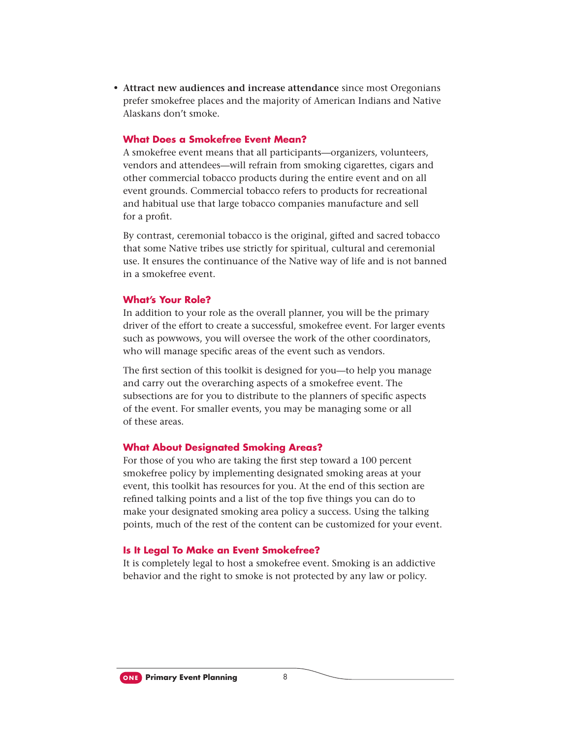• **Attract new audiences and increase attendance** since most Oregonians prefer smokefree places and the majority of American Indians and Native Alaskans don't smoke.

#### **What Does a Smokefree Event Mean?**

A smokefree event means that all participants—organizers, volunteers, vendors and attendees—will refrain from smoking cigarettes, cigars and other commercial tobacco products during the entire event and on all event grounds. Commercial tobacco refers to products for recreational and habitual use that large tobacco companies manufacture and sell for a profit.

By contrast, ceremonial tobacco is the original, gifted and sacred tobacco that some Native tribes use strictly for spiritual, cultural and ceremonial use. It ensures the continuance of the Native way of life and is not banned in a smokefree event.

#### **What's Your Role?**

In addition to your role as the overall planner, you will be the primary driver of the effort to create a successful, smokefree event. For larger events such as powwows, you will oversee the work of the other coordinators, who will manage specific areas of the event such as vendors.

The first section of this toolkit is designed for you—to help you manage and carry out the overarching aspects of a smokefree event. The subsections are for you to distribute to the planners of specific aspects of the event. For smaller events, you may be managing some or all of these areas.

#### **What About Designated Smoking Areas?**

For those of you who are taking the first step toward a 100 percent smokefree policy by implementing designated smoking areas at your event, this toolkit has resources for you. At the end of this section are refined talking points and a list of the top five things you can do to make your designated smoking area policy a success. Using the talking points, much of the rest of the content can be customized for your event.

#### **Is It Legal To Make an Event Smokefree?**

It is completely legal to host a smokefree event. Smoking is an addictive behavior and the right to smoke is not protected by any law or policy.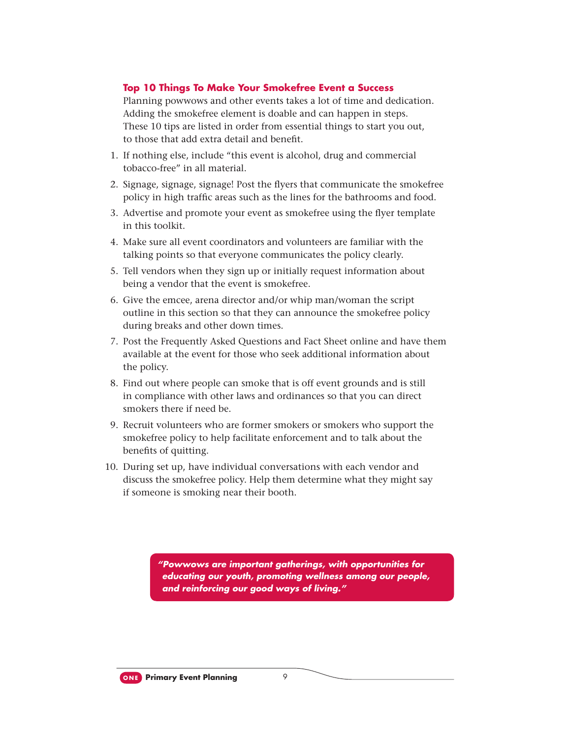#### **Top 10 Things To Make Your Smokefree Event a Success**

Planning powwows and other events takes a lot of time and dedication. Adding the smokefree element is doable and can happen in steps. These 10 tips are listed in order from essential things to start you out, to those that add extra detail and benefit.

- 1. If nothing else, include "this event is alcohol, drug and commercial tobacco-free" in all material.
- 2. Signage, signage, signage! Post the flyers that communicate the smokefree policy in high traffic areas such as the lines for the bathrooms and food.
- 3. Advertise and promote your event as smokefree using the flyer template in this toolkit.
- 4. Make sure all event coordinators and volunteers are familiar with the talking points so that everyone communicates the policy clearly.
- 5. Tell vendors when they sign up or initially request information about being a vendor that the event is smokefree.
- 6. Give the emcee, arena director and/or whip man/woman the script outline in this section so that they can announce the smokefree policy during breaks and other down times.
- 7. Post the Frequently Asked Questions and Fact Sheet online and have them available at the event for those who seek additional information about the policy.
- 8. Find out where people can smoke that is off event grounds and is still in compliance with other laws and ordinances so that you can direct smokers there if need be.
- 9. Recruit volunteers who are former smokers or smokers who support the smokefree policy to help facilitate enforcement and to talk about the benefits of quitting.
- 10. During set up, have individual conversations with each vendor and discuss the smokefree policy. Help them determine what they might say if someone is smoking near their booth.

*"Powwows are important gatherings, with opportunities for educating our youth, promoting wellness among our people, and reinforcing our good ways of living."*

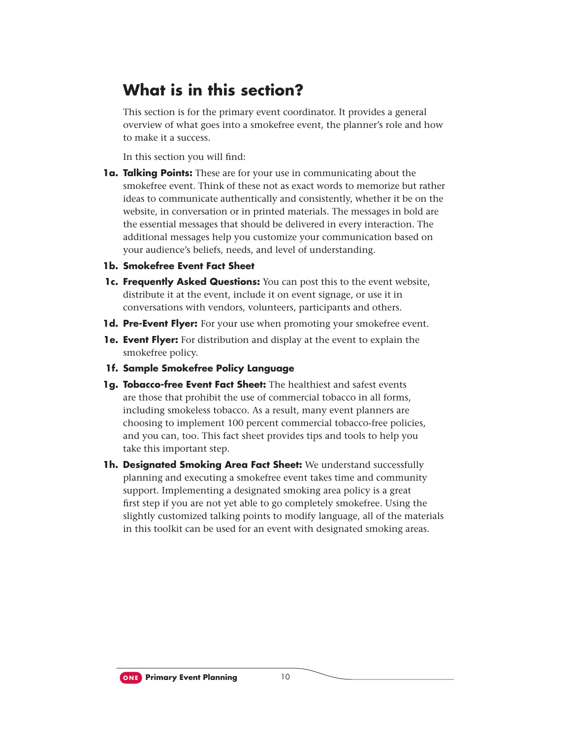### **What is in this section?**

This section is for the primary event coordinator. It provides a general overview of what goes into a smokefree event, the planner's role and how to make it a success.

In this section you will find:

**1a. Talking Points:** These are for your use in communicating about the smokefree event. Think of these not as exact words to memorize but rather ideas to communicate authentically and consistently, whether it be on the website, in conversation or in printed materials. The messages in bold are the essential messages that should be delivered in every interaction. The additional messages help you customize your communication based on your audience's beliefs, needs, and level of understanding.

#### **1b. Smokefree Event Fact Sheet**

- **1c. Frequently Asked Questions:** You can post this to the event website, distribute it at the event, include it on event signage, or use it in conversations with vendors, volunteers, participants and others.
- **1d. Pre-Event Flyer:** For your use when promoting your smokefree event.
- **1e. Event Flyer:** For distribution and display at the event to explain the smokefree policy.
- **1f. Sample Smokefree Policy Language**
- **1g. Tobacco-free Event Fact Sheet:** The healthiest and safest events are those that prohibit the use of commercial tobacco in all forms, including smokeless tobacco. As a result, many event planners are choosing to implement 100 percent commercial tobacco-free policies, and you can, too. This fact sheet provides tips and tools to help you take this important step.
- **1h. Designated Smoking Area Fact Sheet:** We understand successfully planning and executing a smokefree event takes time and community support. Implementing a designated smoking area policy is a great first step if you are not yet able to go completely smokefree. Using the slightly customized talking points to modify language, all of the materials in this toolkit can be used for an event with designated smoking areas.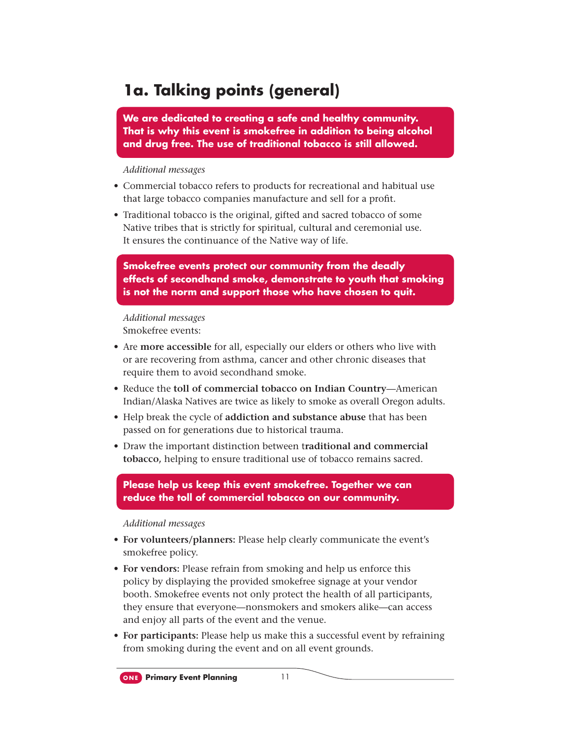### **1a. Talking points (general)**

**We are dedicated to creating a safe and healthy community. That is why this event is smokefree in addition to being alcohol and drug free. The use of traditional tobacco is still allowed.**

*Additional messages*

- Commercial tobacco refers to products for recreational and habitual use that large tobacco companies manufacture and sell for a profit.
- Traditional tobacco is the original, gifted and sacred tobacco of some Native tribes that is strictly for spiritual, cultural and ceremonial use. It ensures the continuance of the Native way of life.

**Smokefree events protect our community from the deadly effects of secondhand smoke, demonstrate to youth that smoking is not the norm and support those who have chosen to quit.**

*Additional messages*

Smokefree events:

- Are **more accessible** for all, especially our elders or others who live with or are recovering from asthma, cancer and other chronic diseases that require them to avoid secondhand smoke.
- Reduce the **toll of commercial tobacco on Indian Country**—American Indian/Alaska Natives are twice as likely to smoke as overall Oregon adults.
- Help break the cycle of **addiction and substance abuse** that has been passed on for generations due to historical trauma.
- Draw the important distinction between t**raditional and commercial tobacco,** helping to ensure traditional use of tobacco remains sacred.

**Please help us keep this event smokefree. Together we can reduce the toll of commercial tobacco on our community.**

- **For volunteers/planners:** Please help clearly communicate the event's smokefree policy.
- **For vendors:** Please refrain from smoking and help us enforce this policy by displaying the provided smokefree signage at your vendor booth. Smokefree events not only protect the health of all participants, they ensure that everyone—nonsmokers and smokers alike—can access and enjoy all parts of the event and the venue.
- **For participants:** Please help us make this a successful event by refraining from smoking during the event and on all event grounds.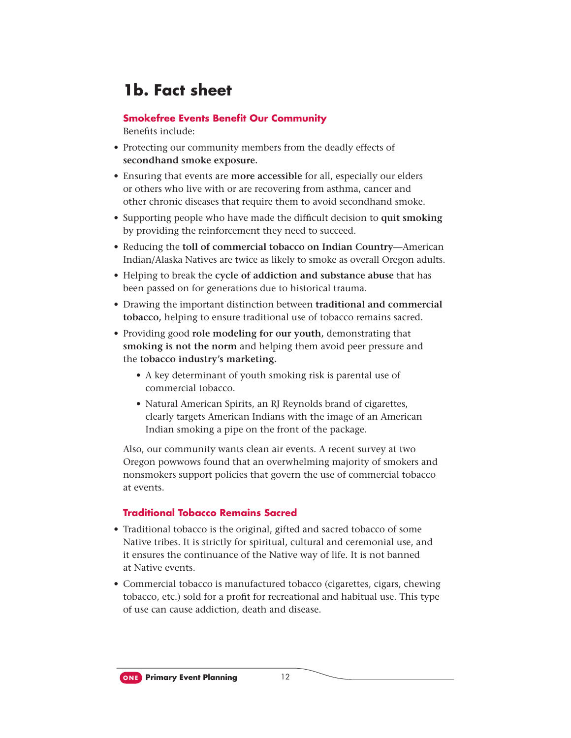### **1b. Fact sheet**

#### **Smokefree Events Benefit Our Community**

Benefits include:

- Protecting our community members from the deadly effects of **secondhand smoke exposure.**
- Ensuring that events are **more accessible** for all, especially our elders or others who live with or are recovering from asthma, cancer and other chronic diseases that require them to avoid secondhand smoke.
- Supporting people who have made the difficult decision to **quit smoking** by providing the reinforcement they need to succeed.
- Reducing the **toll of commercial tobacco on Indian Country**—American Indian/Alaska Natives are twice as likely to smoke as overall Oregon adults.
- Helping to break the **cycle of addiction and substance abuse** that has been passed on for generations due to historical trauma.
- Drawing the important distinction between **traditional and commercial tobacco,** helping to ensure traditional use of tobacco remains sacred.
- Providing good **role modeling for our youth,** demonstrating that **smoking is not the norm** and helping them avoid peer pressure and the **tobacco industry's marketing.**
	- A key determinant of youth smoking risk is parental use of commercial tobacco.
	- Natural American Spirits, an RJ Reynolds brand of cigarettes, clearly targets American Indians with the image of an American Indian smoking a pipe on the front of the package.

Also, our community wants clean air events. A recent survey at two Oregon powwows found that an overwhelming majority of smokers and nonsmokers support policies that govern the use of commercial tobacco at events.

#### **Traditional Tobacco Remains Sacred**

- Traditional tobacco is the original, gifted and sacred tobacco of some Native tribes. It is strictly for spiritual, cultural and ceremonial use, and it ensures the continuance of the Native way of life. It is not banned at Native events.
- Commercial tobacco is manufactured tobacco (cigarettes, cigars, chewing tobacco, etc.) sold for a profit for recreational and habitual use. This type of use can cause addiction, death and disease.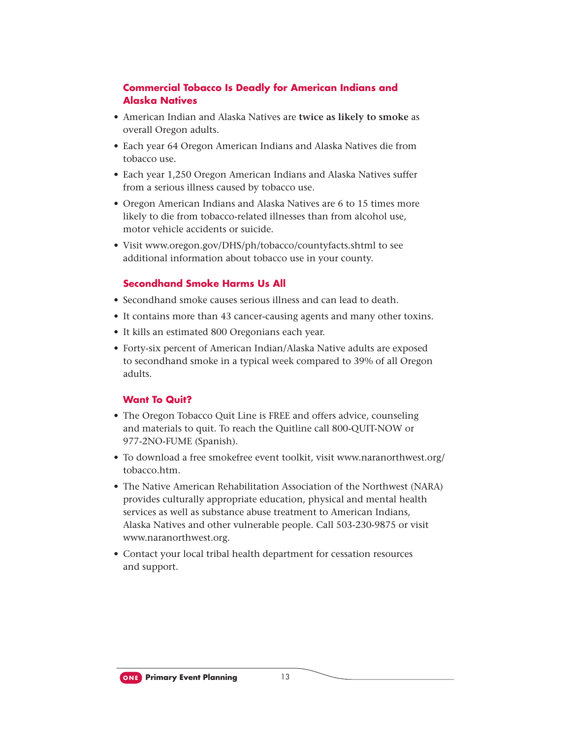#### **Commercial Tobacco Is Deadly for American Indians and Alaska Natives**

- American Indian and Alaska Natives are **twice as likely to smoke** as overall Oregon adults.
- Each year 64 Oregon American Indians and Alaska Natives die from tobacco use.
- Each year 1,250 Oregon American Indians and Alaska Natives suffer from a serious illness caused by tobacco use.
- Oregon American Indians and Alaska Natives are 6 to 15 times more likely to die from tobacco-related illnesses than from alcohol use, motor vehicle accidents or suicide.
- Visit www.oregon.gov/DHS/ph/tobacco/countyfacts.shtml to see additional information about tobacco use in your county.

#### **Secondhand Smoke Harms Us All**

- Secondhand smoke causes serious illness and can lead to death.
- It contains more than 43 cancer-causing agents and many other toxins.
- It kills an estimated 800 Oregonians each year.
- Forty-six percent of American Indian/Alaska Native adults are exposed to secondhand smoke in a typical week compared to 39% of all Oregon adults.

#### **Want To Quit?**

- The Oregon Tobacco Quit Line is FREE and offers advice, counseling and materials to quit. To reach the Quitline call 800-QUIT-NOW or 977-2NO-FUME (Spanish).
- To download a free smokefree event toolkit, visit www.naranorthwest.org/ tobacco.htm.
- The Native American Rehabilitation Association of the Northwest (NARA) provides culturally appropriate education, physical and mental health services as well as substance abuse treatment to American Indians, Alaska Natives and other vulnerable people. Call 503-230-9875 or visit www.naranorthwest.org.
- Contact your local tribal health department for cessation resources and support.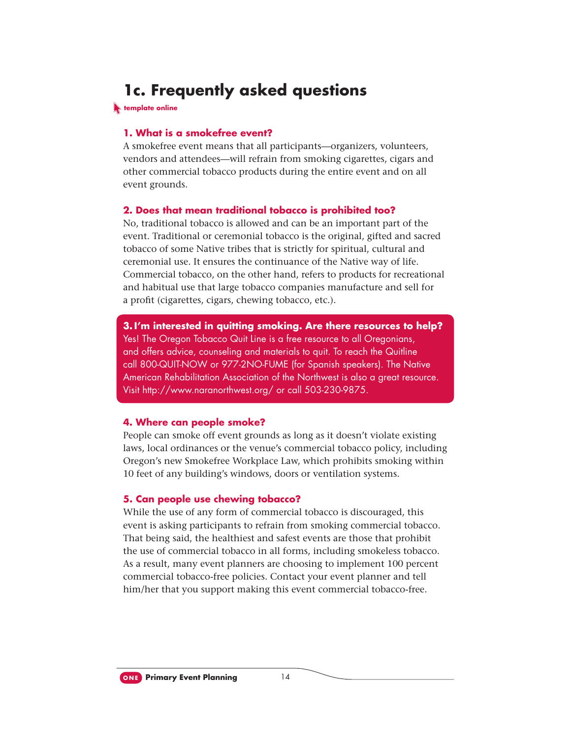### **1c. Frequently asked questions**

**template online** 

#### **1. What is a smokefree event?**

A smokefree event means that all participants—organizers, volunteers, vendors and attendees—will refrain from smoking cigarettes, cigars and other commercial tobacco products during the entire event and on all event grounds.

#### **2. Does that mean traditional tobacco is prohibited too?**

No, traditional tobacco is allowed and can be an important part of the event. Traditional or ceremonial tobacco is the original, gifted and sacred tobacco of some Native tribes that is strictly for spiritual, cultural and ceremonial use. It ensures the continuance of the Native way of life. Commercial tobacco, on the other hand, refers to products for recreational and habitual use that large tobacco companies manufacture and sell for a profit (cigarettes, cigars, chewing tobacco, etc.).

**3. I'm interested in quitting smoking. Are there resources to help?** Yes! The Oregon Tobacco Quit Line is a free resource to all Oregonians, and offers advice, counseling and materials to quit. To reach the Quitline call 800-QUIT-NOW or 977-2NO-FUME (for Spanish speakers). The Native American Rehabilitation Association of the Northwest is also a great resource. Visit http://www.naranorthwest.org/ or call 503-230-9875.

#### **4. Where can people smoke?**

People can smoke off event grounds as long as it doesn't violate existing laws, local ordinances or the venue's commercial tobacco policy, including Oregon's new Smokefree Workplace Law, which prohibits smoking within 10 feet of any building's windows, doors or ventilation systems.

#### **5. Can people use chewing tobacco?**

While the use of any form of commercial tobacco is discouraged, this event is asking participants to refrain from smoking commercial tobacco. That being said, the healthiest and safest events are those that prohibit the use of commercial tobacco in all forms, including smokeless tobacco. As a result, many event planners are choosing to implement 100 percent commercial tobacco-free policies. Contact your event planner and tell him/her that you support making this event commercial tobacco-free.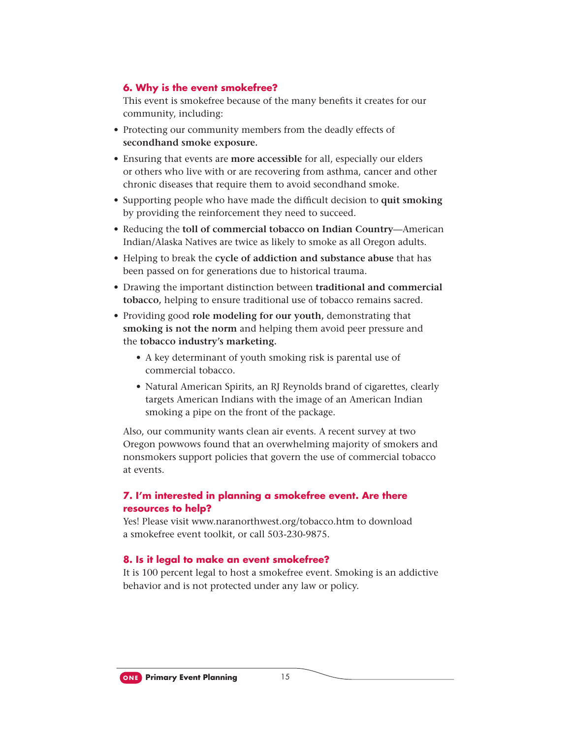#### **6. Why is the event smokefree?**

This event is smokefree because of the many benefits it creates for our community, including:

- Protecting our community members from the deadly effects of **secondhand smoke exposure.**
- Ensuring that events are **more accessible** for all, especially our elders or others who live with or are recovering from asthma, cancer and other chronic diseases that require them to avoid secondhand smoke.
- Supporting people who have made the difficult decision to quit smoking by providing the reinforcement they need to succeed.
- Reducing the **toll of commercial tobacco on Indian Country**—American Indian/Alaska Natives are twice as likely to smoke as all Oregon adults.
- Helping to break the **cycle of addiction and substance abuse** that has been passed on for generations due to historical trauma.
- Drawing the important distinction between **traditional and commercial tobacco,** helping to ensure traditional use of tobacco remains sacred.
- Providing good **role modeling for our youth,** demonstrating that **smoking is not the norm** and helping them avoid peer pressure and the **tobacco industry's marketing.**
	- A key determinant of youth smoking risk is parental use of commercial tobacco.
	- Natural American Spirits, an RJ Reynolds brand of cigarettes, clearly targets American Indians with the image of an American Indian smoking a pipe on the front of the package.

Also, our community wants clean air events. A recent survey at two Oregon powwows found that an overwhelming majority of smokers and nonsmokers support policies that govern the use of commercial tobacco at events.

#### **7. I'm interested in planning a smokefree event. Are there resources to help?**

Yes! Please visit www.naranorthwest.org/tobacco.htm to download a smokefree event toolkit, or call 503-230-9875.

#### **8. Is it legal to make an event smokefree?**

It is 100 percent legal to host a smokefree event. Smoking is an addictive behavior and is not protected under any law or policy.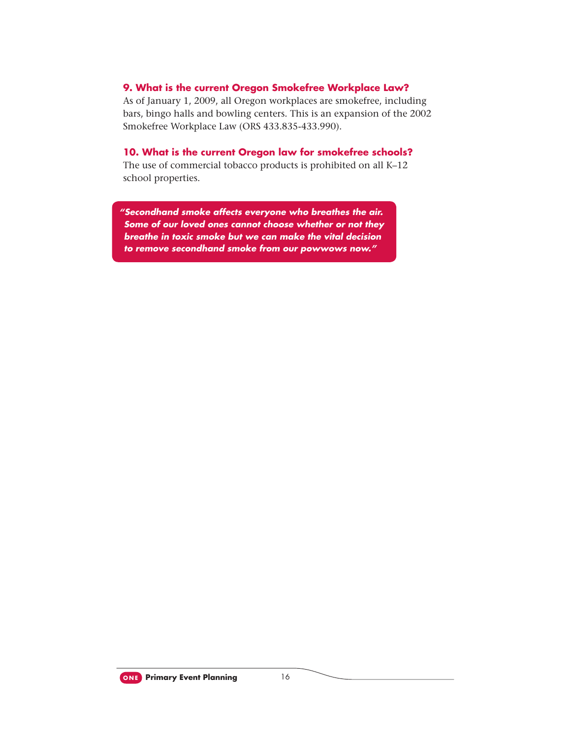#### **9. What is the current Oregon Smokefree Workplace Law?**

As of January 1, 2009, all Oregon workplaces are smokefree, including bars, bingo halls and bowling centers. This is an expansion of the 2002 Smokefree Workplace Law (ORS 433.835-433.990).

#### **10. What is the current Oregon law for smokefree schools?**

The use of commercial tobacco products is prohibited on all K–12 school properties.

*"Secondhand smoke affects everyone who breathes the air. Some of our loved ones cannot choose whether or not they breathe in toxic smoke but we can make the vital decision to remove secondhand smoke from our powwows now."*

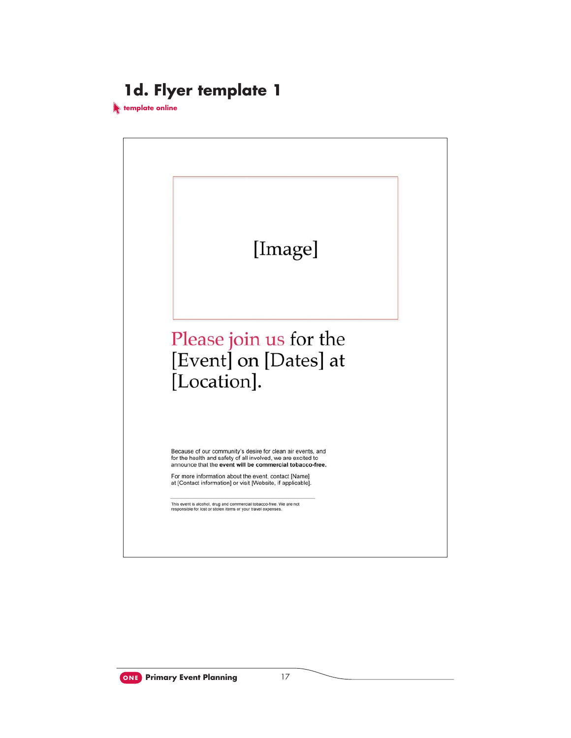### **1d. Flyer template 1**

**template online**

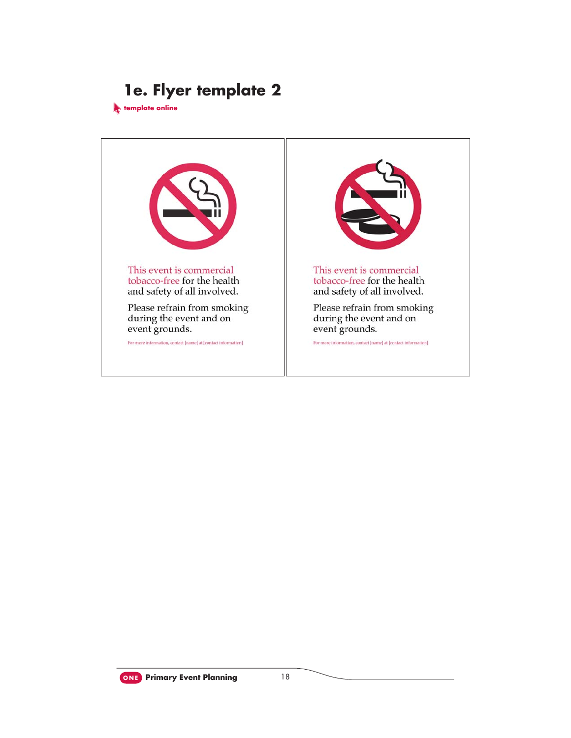### **1e. Flyer template 2**

**template online**



**ONE Primary Event Planning** 18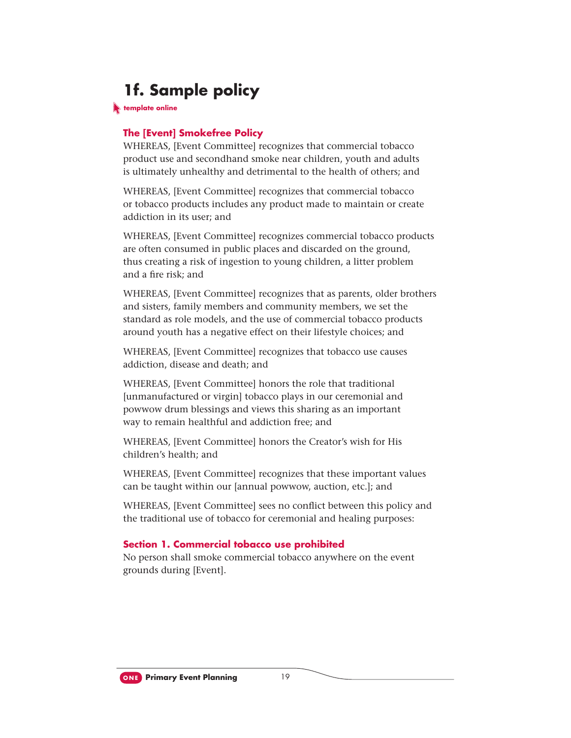### **1f. Sample policy**

**template online**

#### **The [Event] Smokefree Policy**

WHEREAS, [Event Committee] recognizes that commercial tobacco product use and secondhand smoke near children, youth and adults is ultimately unhealthy and detrimental to the health of others; and

WHEREAS, [Event Committee] recognizes that commercial tobacco or tobacco products includes any product made to maintain or create addiction in its user; and

WHEREAS, [Event Committee] recognizes commercial tobacco products are often consumed in public places and discarded on the ground, thus creating a risk of ingestion to young children, a litter problem and a fire risk: and

WHEREAS, [Event Committee] recognizes that as parents, older brothers and sisters, family members and community members, we set the standard as role models, and the use of commercial tobacco products around youth has a negative effect on their lifestyle choices; and

WHEREAS, [Event Committee] recognizes that tobacco use causes addiction, disease and death; and

WHEREAS, [Event Committee] honors the role that traditional [unmanufactured or virgin] tobacco plays in our ceremonial and powwow drum blessings and views this sharing as an important way to remain healthful and addiction free; and

WHEREAS, [Event Committee] honors the Creator's wish for His children's health; and

WHEREAS, [Event Committee] recognizes that these important values can be taught within our [annual powwow, auction, etc.]; and

WHEREAS, [Event Committee] sees no conflict between this policy and the traditional use of tobacco for ceremonial and healing purposes:

#### **Section 1. Commercial tobacco use prohibited**

No person shall smoke commercial tobacco anywhere on the event grounds during [Event].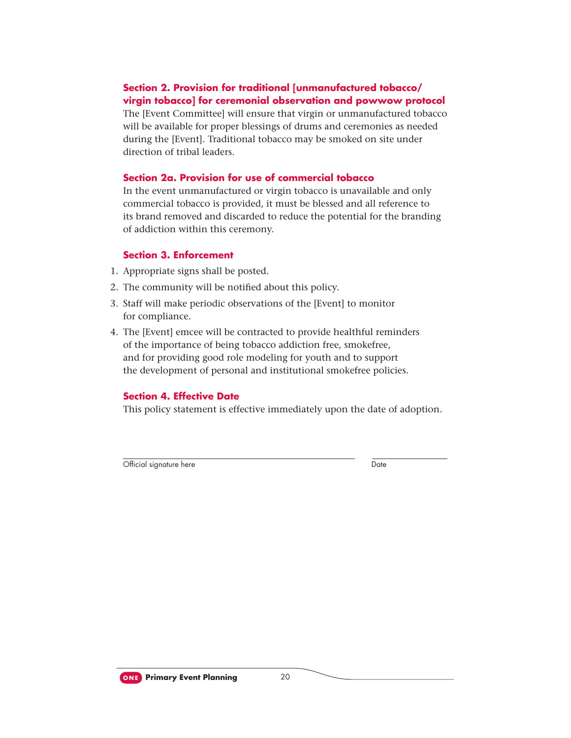#### **Section 2. Provision for traditional [unmanufactured tobacco/ virgin tobacco] for ceremonial observation and powwow protocol**

The [Event Committee] will ensure that virgin or unmanufactured tobacco will be available for proper blessings of drums and ceremonies as needed during the [Event]. Traditional tobacco may be smoked on site under direction of tribal leaders.

#### **Section 2a. Provision for use of commercial tobacco**

In the event unmanufactured or virgin tobacco is unavailable and only commercial tobacco is provided, it must be blessed and all reference to its brand removed and discarded to reduce the potential for the branding of addiction within this ceremony.

#### **Section 3. Enforcement**

- 1. Appropriate signs shall be posted.
- 2. The community will be notified about this policy.
- 3. Staff will make periodic observations of the [Event] to monitor for compliance.
- 4. The [Event] emcee will be contracted to provide healthful reminders of the importance of being tobacco addiction free, smokefree, and for providing good role modeling for youth and to support the development of personal and institutional smokefree policies.

#### **Section 4. Effective Date**

This policy statement is effective immediately upon the date of adoption.

Official signature here Date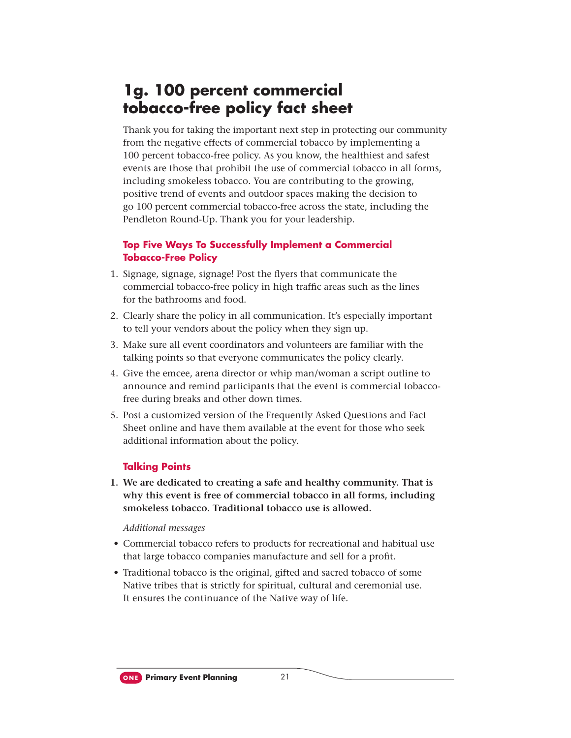### **1g. 100 percent commercial tobacco-free policy fact sheet**

Thank you for taking the important next step in protecting our community from the negative effects of commercial tobacco by implementing a 100 percent tobacco-free policy. As you know, the healthiest and safest events are those that prohibit the use of commercial tobacco in all forms, including smokeless tobacco. You are contributing to the growing, positive trend of events and outdoor spaces making the decision to go 100 percent commercial tobacco-free across the state, including the Pendleton Round-Up. Thank you for your leadership.

#### **Top Five Ways To Successfully Implement a Commercial Tobacco-Free Policy**

- 1. Signage, signage, signage! Post the flyers that communicate the commercial tobacco-free policy in high traffic areas such as the lines for the bathrooms and food.
- 2. Clearly share the policy in all communication. It's especially important to tell your vendors about the policy when they sign up.
- 3. Make sure all event coordinators and volunteers are familiar with the talking points so that everyone communicates the policy clearly.
- 4. Give the emcee, arena director or whip man/woman a script outline to announce and remind participants that the event is commercial tobaccofree during breaks and other down times.
- 5. Post a customized version of the Frequently Asked Questions and Fact Sheet online and have them available at the event for those who seek additional information about the policy.

#### **Talking Points**

 **1. We are dedicated to creating a safe and healthy community. That is why this event is free of commercial tobacco in all forms, including smokeless tobacco. Traditional tobacco use is allowed.**

- Commercial tobacco refers to products for recreational and habitual use that large tobacco companies manufacture and sell for a profit.
- Traditional tobacco is the original, gifted and sacred tobacco of some Native tribes that is strictly for spiritual, cultural and ceremonial use. It ensures the continuance of the Native way of life.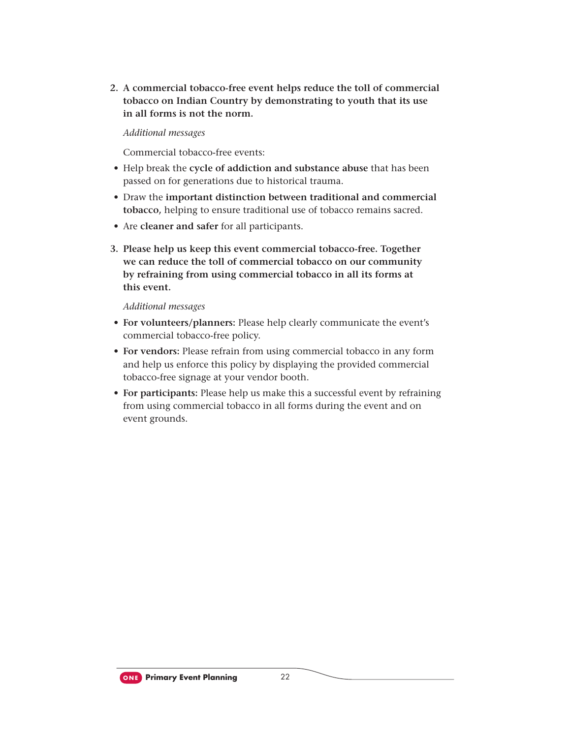**2. A commercial tobacco-free event helps reduce the toll of commercial tobacco on Indian Country by demonstrating to youth that its use in all forms is not the norm.**

*Additional messages*

Commercial tobacco-free events:

- Help break the **cycle of addiction and substance abuse** that has been passed on for generations due to historical trauma.
- Draw the **important distinction between traditional and commercial tobacco,** helping to ensure traditional use of tobacco remains sacred.
- Are **cleaner and safer** for all participants.
- **3. Please help us keep this event commercial tobacco-free. Together we can reduce the toll of commercial tobacco on our community by refraining from using commercial tobacco in all its forms at this event.**

- **For volunteers/planners:** Please help clearly communicate the event's commercial tobacco-free policy.
- **For vendors:** Please refrain from using commercial tobacco in any form and help us enforce this policy by displaying the provided commercial tobacco-free signage at your vendor booth.
- **For participants:** Please help us make this a successful event by refraining from using commercial tobacco in all forms during the event and on event grounds.

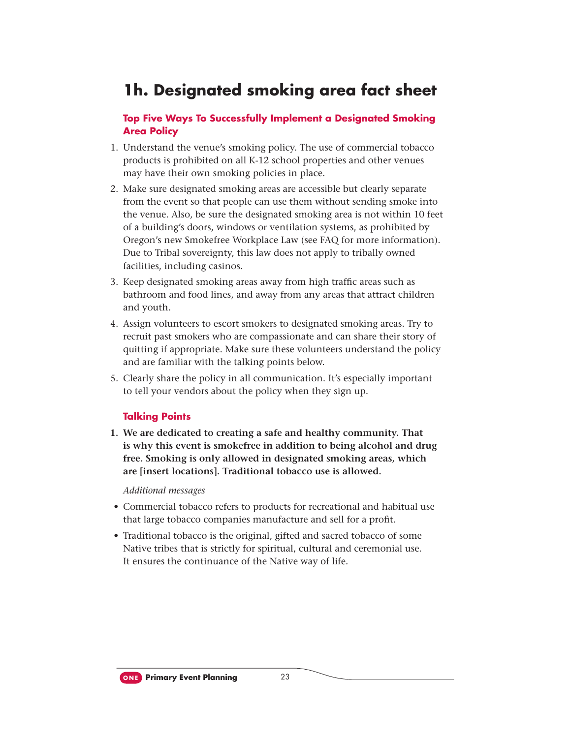### **1h. Designated smoking area fact sheet**

#### **Top Five Ways To Successfully Implement a Designated Smoking Area Policy**

- 1. Understand the venue's smoking policy. The use of commercial tobacco products is prohibited on all K-12 school properties and other venues may have their own smoking policies in place.
- 2. Make sure designated smoking areas are accessible but clearly separate from the event so that people can use them without sending smoke into the venue. Also, be sure the designated smoking area is not within 10 feet of a building's doors, windows or ventilation systems, as prohibited by Oregon's new Smokefree Workplace Law (see FAQ for more information). Due to Tribal sovereignty, this law does not apply to tribally owned facilities, including casinos.
- 3. Keep designated smoking areas away from high traffic areas such as bathroom and food lines, and away from any areas that attract children and youth.
- 4. Assign volunteers to escort smokers to designated smoking areas. Try to recruit past smokers who are compassionate and can share their story of quitting if appropriate. Make sure these volunteers understand the policy and are familiar with the talking points below.
- 5. Clearly share the policy in all communication. It's especially important to tell your vendors about the policy when they sign up.

#### **Talking Points**

**1. We are dedicated to creating a safe and healthy community. That is why this event is smokefree in addition to being alcohol and drug free. Smoking is only allowed in designated smoking areas, which are [insert locations]. Traditional tobacco use is allowed.**

- Commercial tobacco refers to products for recreational and habitual use that large tobacco companies manufacture and sell for a profit.
- Traditional tobacco is the original, gifted and sacred tobacco of some Native tribes that is strictly for spiritual, cultural and ceremonial use. It ensures the continuance of the Native way of life.